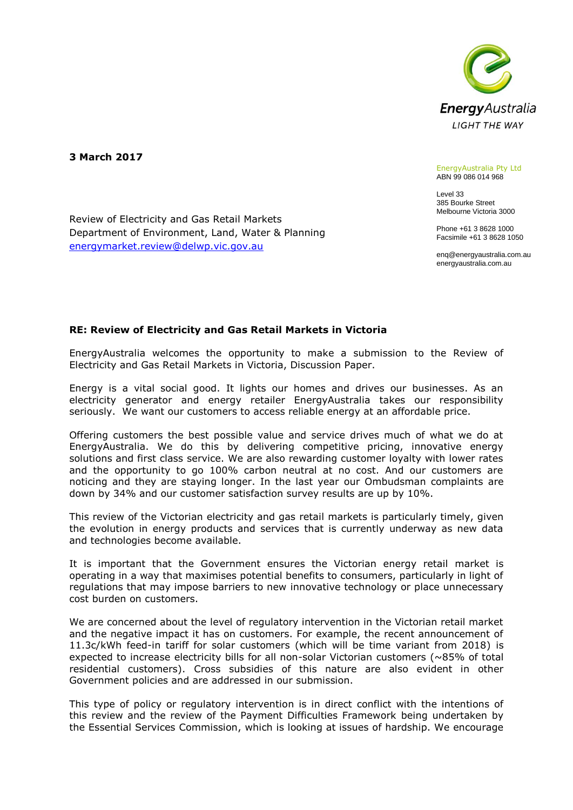

**3 March 2017**

#### EnergyAustralia Pty Ltd ABN 99 086 014 968

Level 33 385 Bourke Street Melbourne Victoria 3000

Phone +61 3 8628 1000 Facsimile +61 3 8628 1050

enq@energyaustralia.com.au energyaustralia.com.au

# **RE: Review of Electricity and Gas Retail Markets in Victoria**

Review of Electricity and Gas Retail Markets

[energymarket.review@delwp.vic.gov.au](mailto:energymarket.review@delwp.vic.gov.au)

Department of Environment, Land, Water & Planning

EnergyAustralia welcomes the opportunity to make a submission to the Review of Electricity and Gas Retail Markets in Victoria, Discussion Paper.

Energy is a vital social good. It lights our homes and drives our businesses. As an electricity generator and energy retailer EnergyAustralia takes our responsibility seriously. We want our customers to access reliable energy at an affordable price.

Offering customers the best possible value and service drives much of what we do at EnergyAustralia. We do this by delivering competitive pricing, innovative energy solutions and first class service. We are also rewarding customer loyalty with lower rates and the opportunity to go 100% carbon neutral at no cost. And our customers are noticing and they are staying longer. In the last year our Ombudsman complaints are down by 34% and our customer satisfaction survey results are up by 10%.

This review of the Victorian electricity and gas retail markets is particularly timely, given the evolution in energy products and services that is currently underway as new data and technologies become available.

It is important that the Government ensures the Victorian energy retail market is operating in a way that maximises potential benefits to consumers, particularly in light of regulations that may impose barriers to new innovative technology or place unnecessary cost burden on customers.

We are concerned about the level of regulatory intervention in the Victorian retail market and the negative impact it has on customers. For example, the recent announcement of 11.3c/kWh feed-in tariff for solar customers (which will be time variant from 2018) is expected to increase electricity bills for all non-solar Victorian customers (~85% of total residential customers). Cross subsidies of this nature are also evident in other Government policies and are addressed in our submission.

This type of policy or regulatory intervention is in direct conflict with the intentions of this review and the review of the Payment Difficulties Framework being undertaken by the Essential Services Commission, which is looking at issues of hardship. We encourage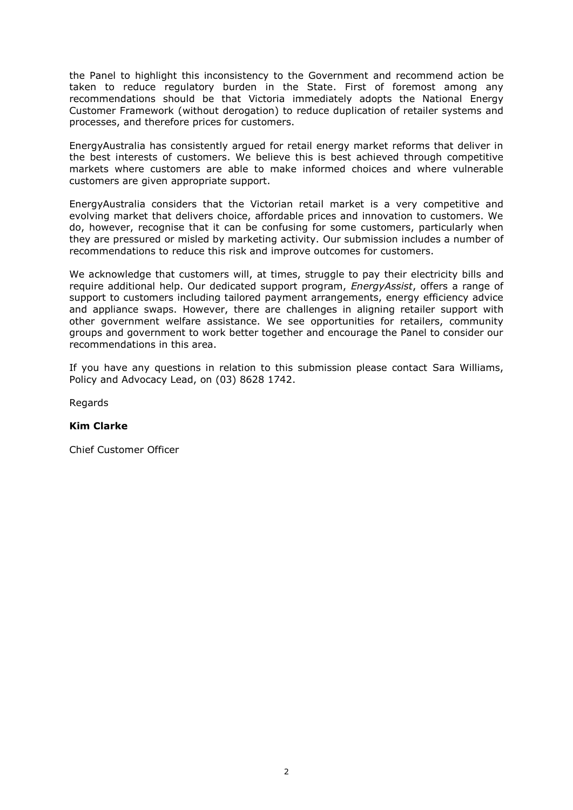the Panel to highlight this inconsistency to the Government and recommend action be taken to reduce regulatory burden in the State. First of foremost among any recommendations should be that Victoria immediately adopts the National Energy Customer Framework (without derogation) to reduce duplication of retailer systems and processes, and therefore prices for customers.

EnergyAustralia has consistently argued for retail energy market reforms that deliver in the best interests of customers. We believe this is best achieved through competitive markets where customers are able to make informed choices and where vulnerable customers are given appropriate support.

EnergyAustralia considers that the Victorian retail market is a very competitive and evolving market that delivers choice, affordable prices and innovation to customers. We do, however, recognise that it can be confusing for some customers, particularly when they are pressured or misled by marketing activity. Our submission includes a number of recommendations to reduce this risk and improve outcomes for customers.

We acknowledge that customers will, at times, struggle to pay their electricity bills and require additional help. Our dedicated support program, *EnergyAssist*, offers a range of support to customers including tailored payment arrangements, energy efficiency advice and appliance swaps. However, there are challenges in aligning retailer support with other government welfare assistance. We see opportunities for retailers, community groups and government to work better together and encourage the Panel to consider our recommendations in this area.

If you have any questions in relation to this submission please contact Sara Williams, Policy and Advocacy Lead, on (03) 8628 1742.

Regards

# **Kim Clarke**

Chief Customer Officer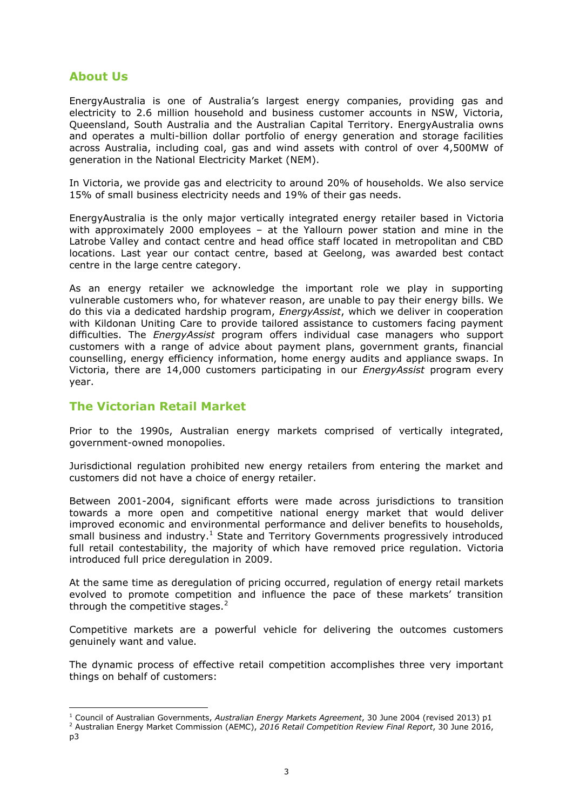# **About Us**

EnergyAustralia is one of Australia's largest energy companies, providing gas and electricity to 2.6 million household and business customer accounts in NSW, Victoria, Queensland, South Australia and the Australian Capital Territory. EnergyAustralia owns and operates a multi-billion dollar portfolio of energy generation and storage facilities across Australia, including coal, gas and wind assets with control of over 4,500MW of generation in the National Electricity Market (NEM).

In Victoria, we provide gas and electricity to around 20% of households. We also service 15% of small business electricity needs and 19% of their gas needs.

EnergyAustralia is the only major vertically integrated energy retailer based in Victoria with approximately 2000 employees – at the Yallourn power station and mine in the Latrobe Valley and contact centre and head office staff located in metropolitan and CBD locations. Last year our contact centre, based at Geelong, was awarded best contact centre in the large centre category.

As an energy retailer we acknowledge the important role we play in supporting vulnerable customers who, for whatever reason, are unable to pay their energy bills. We do this via a dedicated hardship program, *EnergyAssist*, which we deliver in cooperation with Kildonan Uniting Care to provide tailored assistance to customers facing payment difficulties. The *EnergyAssist* program offers individual case managers who support customers with a range of advice about payment plans, government grants, financial counselling, energy efficiency information, home energy audits and appliance swaps. In Victoria, there are 14,000 customers participating in our *EnergyAssist* program every year.

# **The Victorian Retail Market**

-

Prior to the 1990s, Australian energy markets comprised of vertically integrated, government-owned monopolies.

Jurisdictional regulation prohibited new energy retailers from entering the market and customers did not have a choice of energy retailer.

Between 2001-2004, significant efforts were made across jurisdictions to transition towards a more open and competitive national energy market that would deliver improved economic and environmental performance and deliver benefits to households, small business and industry.<sup>1</sup> State and Territory Governments progressively introduced full retail contestability, the majority of which have removed price regulation. Victoria introduced full price deregulation in 2009.

At the same time as deregulation of pricing occurred, regulation of energy retail markets evolved to promote competition and influence the pace of these markets' transition through the competitive stages. $2$ 

Competitive markets are a powerful vehicle for delivering the outcomes customers genuinely want and value.

The dynamic process of effective retail competition accomplishes three very important things on behalf of customers:

<sup>1</sup> Council of Australian Governments, *Australian Energy Markets Agreement*, 30 June 2004 (revised 2013) p1

<sup>2</sup> Australian Energy Market Commission (AEMC), *2016 Retail Competition Review Final Report*, 30 June 2016, p3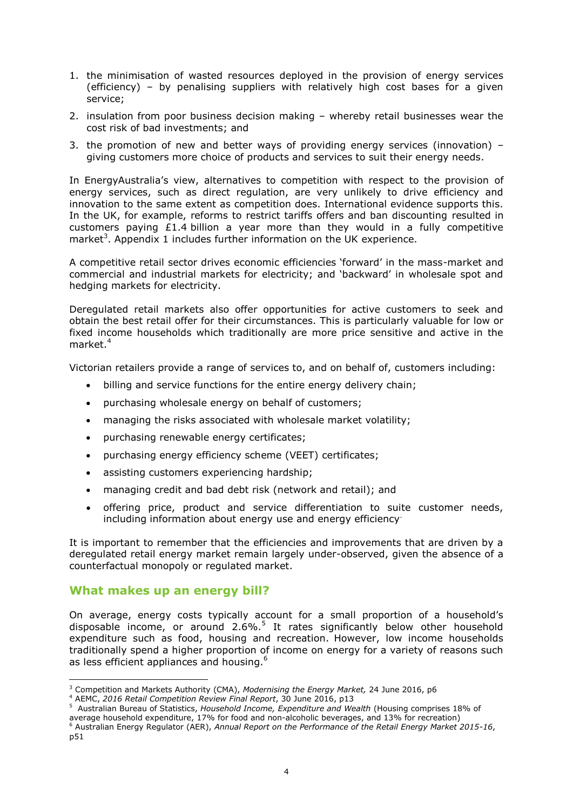- 1. the minimisation of wasted resources deployed in the provision of energy services (efficiency) – by penalising suppliers with relatively high cost bases for a given service;
- 2. insulation from poor business decision making whereby retail businesses wear the cost risk of bad investments; and
- 3. the promotion of new and better ways of providing energy services (innovation) giving customers more choice of products and services to suit their energy needs.

In EnergyAustralia's view, alternatives to competition with respect to the provision of energy services, such as direct regulation, are very unlikely to drive efficiency and innovation to the same extent as competition does. International evidence supports this. In the UK, for example, reforms to restrict tariffs offers and ban discounting resulted in customers paying  $£1.4$  billion a year more than they would in a fully competitive market<sup>3</sup>. Appendix 1 includes further information on the UK experience.

A competitive retail sector drives economic efficiencies 'forward' in the mass-market and commercial and industrial markets for electricity; and 'backward' in wholesale spot and hedging markets for electricity.

Deregulated retail markets also offer opportunities for active customers to seek and obtain the best retail offer for their circumstances. This is particularly valuable for low or fixed income households which traditionally are more price sensitive and active in the market.<sup>4</sup>

Victorian retailers provide a range of services to, and on behalf of, customers including:

- billing and service functions for the entire energy delivery chain;
- purchasing wholesale energy on behalf of customers;
- managing the risks associated with wholesale market volatility;
- purchasing renewable energy certificates;
- purchasing energy efficiency scheme (VEET) certificates;
- assisting customers experiencing hardship;
- managing credit and bad debt risk (network and retail); and
- offering price, product and service differentiation to suite customer needs, including information about energy use and energy efficiency.

It is important to remember that the efficiencies and improvements that are driven by a deregulated retail energy market remain largely under-observed, given the absence of a counterfactual monopoly or regulated market.

# **What makes up an energy bill?**

-

On average, energy costs typically account for a small proportion of a household's disposable income, or around  $2.6\%$ .<sup>5</sup> It rates significantly below other household expenditure such as food, housing and recreation. However, low income households traditionally spend a higher proportion of income on energy for a variety of reasons such as less efficient appliances and housing.<sup>6</sup>

<sup>3</sup> Competition and Markets Authority (CMA), *Modernising the Energy Market,* 24 June 2016, p6

<sup>4</sup> AEMC, *2016 Retail Competition Review Final Report*, 30 June 2016, p13

<sup>5</sup> Australian Bureau of Statistics, *Household Income, Expenditure and Wealth* (Housing comprises 18% of average household expenditure, 17% for food and non-alcoholic beverages, and 13% for recreation)

<sup>6</sup> Australian Energy Regulator (AER), *Annual Report on the Performance of the Retail Energy Market 2015-16*, p51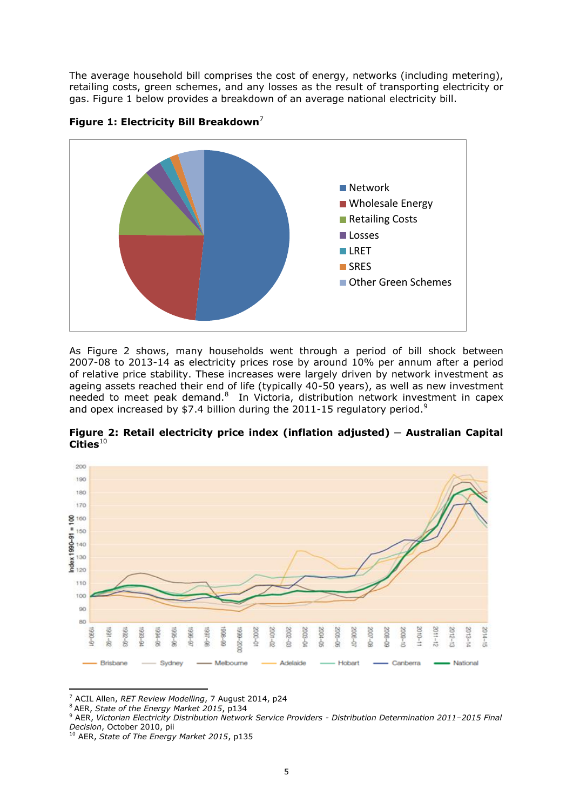The average household bill comprises the cost of energy, networks (including metering), retailing costs, green schemes, and any losses as the result of transporting electricity or gas. Figure 1 below provides a breakdown of an average national electricity bill.





As Figure 2 shows, many households went through a period of bill shock between 2007-08 to 2013-14 as electricity prices rose by around 10% per annum after a period of relative price stability. These increases were largely driven by network investment as ageing assets reached their end of life (typically 40-50 years), as well as new investment needed to meet peak demand. $8\,$  In Victoria, distribution network investment in capex and opex increased by \$7.4 billion during the 2011-15 regulatory period.<sup>9</sup>

**Figure 2: Retail electricity price index (inflation adjusted) ─ Australian Capital**  Cities<sup>10</sup>



<sup>-</sup><sup>7</sup> ACIL Allen, *RET Review Modelling*, 7 August 2014, p24

<sup>8</sup> AER, *State of the Energy Market 2015*, p134

<sup>9</sup> AER, *Victorian Electricity Distribution Network Service Providers - Distribution Determination 2011–2015 Final Decision*, October 2010, pii

<sup>10</sup> AER, *State of The Energy Market 2015*, p135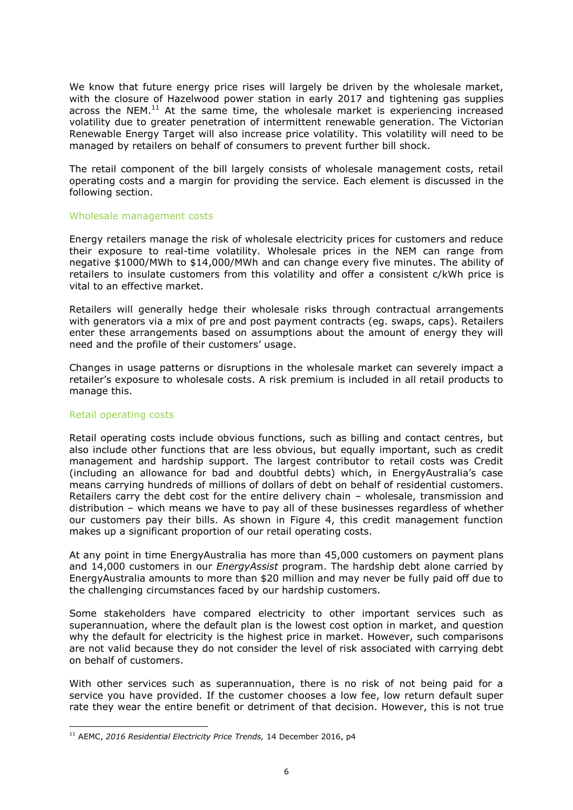We know that future energy price rises will largely be driven by the wholesale market, with the closure of Hazelwood power station in early 2017 and tightening gas supplies across the NEM. $^{11}$  At the same time, the wholesale market is experiencing increased volatility due to greater penetration of intermittent renewable generation. The Victorian Renewable Energy Target will also increase price volatility. This volatility will need to be managed by retailers on behalf of consumers to prevent further bill shock.

The retail component of the bill largely consists of wholesale management costs, retail operating costs and a margin for providing the service. Each element is discussed in the following section.

#### Wholesale management costs

Energy retailers manage the risk of wholesale electricity prices for customers and reduce their exposure to real-time volatility. Wholesale prices in the NEM can range from negative \$1000/MWh to \$14,000/MWh and can change every five minutes. The ability of retailers to insulate customers from this volatility and offer a consistent c/kWh price is vital to an effective market.

Retailers will generally hedge their wholesale risks through contractual arrangements with generators via a mix of pre and post payment contracts (eg. swaps, caps). Retailers enter these arrangements based on assumptions about the amount of energy they will need and the profile of their customers' usage.

Changes in usage patterns or disruptions in the wholesale market can severely impact a retailer's exposure to wholesale costs. A risk premium is included in all retail products to manage this.

# Retail operating costs

-

Retail operating costs include obvious functions, such as billing and contact centres, but also include other functions that are less obvious, but equally important, such as credit management and hardship support. The largest contributor to retail costs was Credit (including an allowance for bad and doubtful debts) which, in EnergyAustralia's case means carrying hundreds of millions of dollars of debt on behalf of residential customers. Retailers carry the debt cost for the entire delivery chain – wholesale, transmission and distribution – which means we have to pay all of these businesses regardless of whether our customers pay their bills. As shown in Figure 4, this credit management function makes up a significant proportion of our retail operating costs.

At any point in time EnergyAustralia has more than 45,000 customers on payment plans and 14,000 customers in our *EnergyAssist* program. The hardship debt alone carried by EnergyAustralia amounts to more than \$20 million and may never be fully paid off due to the challenging circumstances faced by our hardship customers.

Some stakeholders have compared electricity to other important services such as superannuation, where the default plan is the lowest cost option in market, and question why the default for electricity is the highest price in market. However, such comparisons are not valid because they do not consider the level of risk associated with carrying debt on behalf of customers.

With other services such as superannuation, there is no risk of not being paid for a service you have provided. If the customer chooses a low fee, low return default super rate they wear the entire benefit or detriment of that decision. However, this is not true

<sup>11</sup> AEMC, *2016 Residential Electricity Price Trends,* 14 December 2016, p4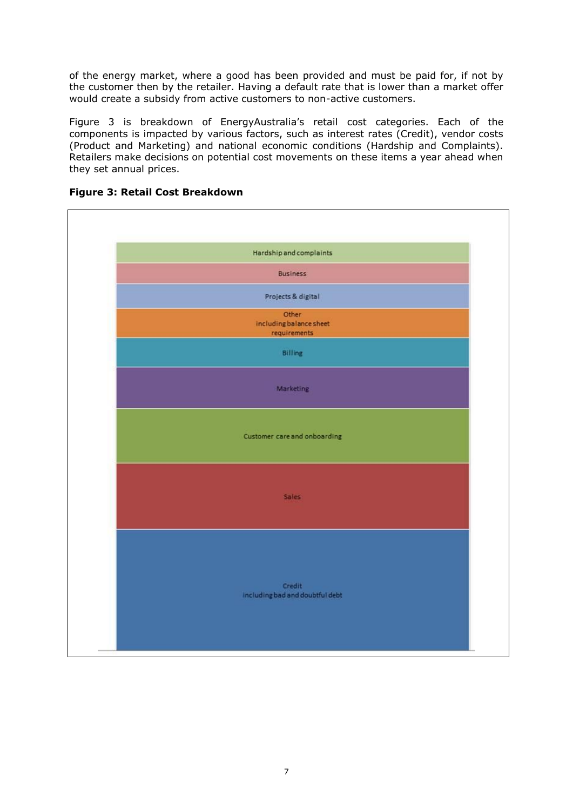of the energy market, where a good has been provided and must be paid for, if not by the customer then by the retailer. Having a default rate that is lower than a market offer would create a subsidy from active customers to non-active customers.

Figure 3 is breakdown of EnergyAustralia's retail cost categories. Each of the components is impacted by various factors, such as interest rates (Credit), vendor costs (Product and Marketing) and national economic conditions (Hardship and Complaints). Retailers make decisions on potential cost movements on these items a year ahead when they set annual prices.



# **Figure 3: Retail Cost Breakdown**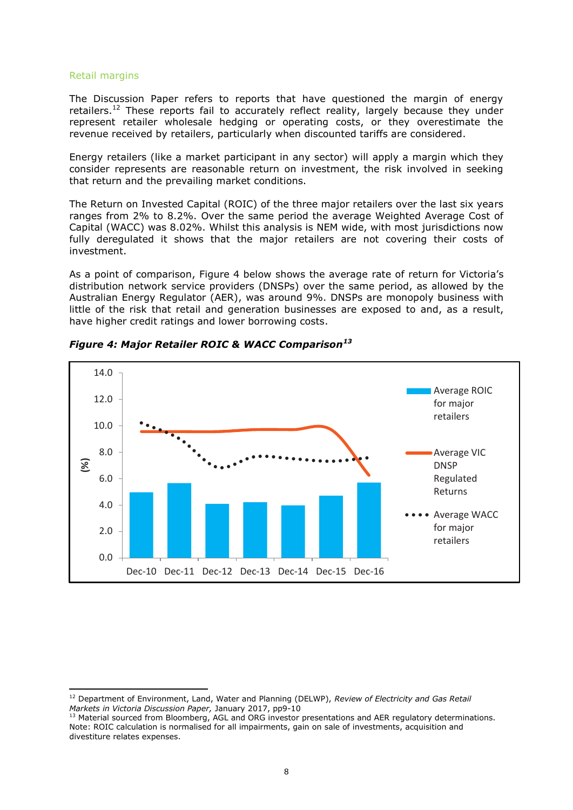#### Retail margins

-

The Discussion Paper refers to reports that have questioned the margin of energy retailers.<sup>12</sup> These reports fail to accurately reflect reality, largely because they under represent retailer wholesale hedging or operating costs, or they overestimate the revenue received by retailers, particularly when discounted tariffs are considered.

Energy retailers (like a market participant in any sector) will apply a margin which they consider represents are reasonable return on investment, the risk involved in seeking that return and the prevailing market conditions.

The Return on Invested Capital (ROIC) of the three major retailers over the last six years ranges from 2% to 8.2%. Over the same period the average Weighted Average Cost of Capital (WACC) was 8.02%. Whilst this analysis is NEM wide, with most jurisdictions now fully deregulated it shows that the major retailers are not covering their costs of investment.

As a point of comparison, Figure 4 below shows the average rate of return for Victoria's distribution network service providers (DNSPs) over the same period, as allowed by the Australian Energy Regulator (AER), was around 9%. DNSPs are monopoly business with little of the risk that retail and generation businesses are exposed to and, as a result, have higher credit ratings and lower borrowing costs.



*Figure 4: Major Retailer ROIC & WACC Comparison<sup>13</sup>*

<sup>12</sup> Department of Environment, Land, Water and Planning (DELWP), *Review of Electricity and Gas Retail Markets in Victoria Discussion Paper,* January 2017, pp9-10

<sup>13</sup> Material sourced from Bloomberg, AGL and ORG investor presentations and AER regulatory determinations. Note: ROIC calculation is normalised for all impairments, gain on sale of investments, acquisition and divestiture relates expenses.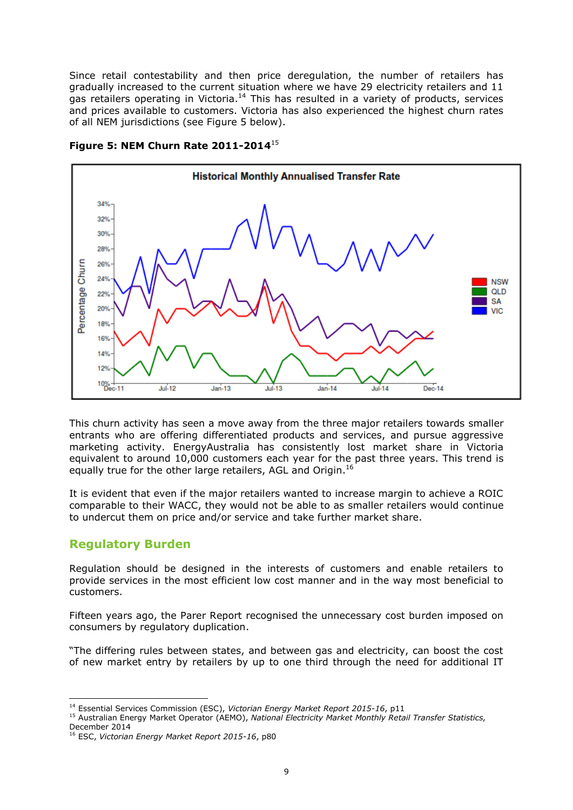Since retail contestability and then price deregulation, the number of retailers has gradually increased to the current situation where we have 29 electricity retailers and 11 gas retailers operating in Victoria.<sup>14</sup> This has resulted in a variety of products, services and prices available to customers. Victoria has also experienced the highest churn rates of all NEM jurisdictions (see Figure 5 below).



# **Figure 5: NEM Churn Rate 2011-2014**<sup>15</sup>

This churn activity has seen a move away from the three major retailers towards smaller entrants who are offering differentiated products and services, and pursue aggressive marketing activity. EnergyAustralia has consistently lost market share in Victoria equivalent to around 10,000 customers each year for the past three years. This trend is equally true for the other large retailers, AGL and Origin.<sup>16</sup>

It is evident that even if the major retailers wanted to increase margin to achieve a ROIC comparable to their WACC, they would not be able to as smaller retailers would continue to undercut them on price and/or service and take further market share.

# **Regulatory Burden**

Regulation should be designed in the interests of customers and enable retailers to provide services in the most efficient low cost manner and in the way most beneficial to customers.

Fifteen years ago, the Parer Report recognised the unnecessary cost burden imposed on consumers by regulatory duplication.

"The differing rules between states, and between gas and electricity, can boost the cost of new market entry by retailers by up to one third through the need for additional IT

<sup>-</sup><sup>14</sup> Essential Services Commission (ESC), *Victorian Energy Market Report 2015-16*, p11

<sup>15</sup> Australian Energy Market Operator (AEMO), *National Electricity Market Monthly Retail Transfer Statistics,* December 2014

<sup>16</sup> ESC, *Victorian Energy Market Report 2015-16*, p80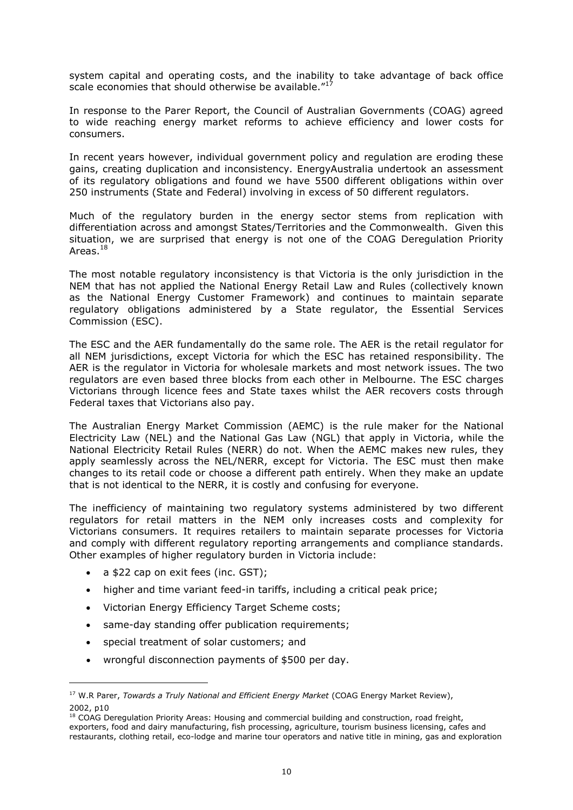system capital and operating costs, and the inability to take advantage of back office scale economies that should otherwise be available."<sup>17</sup>

In response to the Parer Report, the Council of Australian Governments (COAG) agreed to wide reaching energy market reforms to achieve efficiency and lower costs for consumers.

In recent years however, individual government policy and regulation are eroding these gains, creating duplication and inconsistency. EnergyAustralia undertook an assessment of its regulatory obligations and found we have 5500 different obligations within over 250 instruments (State and Federal) involving in excess of 50 different regulators.

Much of the regulatory burden in the energy sector stems from replication with differentiation across and amongst States/Territories and the Commonwealth. Given this situation, we are surprised that energy is not one of the COAG Deregulation Priority Areas.<sup>18</sup>

The most notable regulatory inconsistency is that Victoria is the only jurisdiction in the NEM that has not applied the National Energy Retail Law and Rules (collectively known as the National Energy Customer Framework) and continues to maintain separate regulatory obligations administered by a State regulator, the Essential Services Commission (ESC).

The ESC and the AER fundamentally do the same role. The AER is the retail regulator for all NEM jurisdictions, except Victoria for which the ESC has retained responsibility. The AER is the regulator in Victoria for wholesale markets and most network issues. The two regulators are even based three blocks from each other in Melbourne. The ESC charges Victorians through licence fees and State taxes whilst the AER recovers costs through Federal taxes that Victorians also pay.

The Australian Energy Market Commission (AEMC) is the rule maker for the National Electricity Law (NEL) and the National Gas Law (NGL) that apply in Victoria, while the National Electricity Retail Rules (NERR) do not. When the AEMC makes new rules, they apply seamlessly across the NEL/NERR, except for Victoria. The ESC must then make changes to its retail code or choose a different path entirely. When they make an update that is not identical to the NERR, it is costly and confusing for everyone.

The inefficiency of maintaining two regulatory systems administered by two different regulators for retail matters in the NEM only increases costs and complexity for Victorians consumers. It requires retailers to maintain separate processes for Victoria and comply with different regulatory reporting arrangements and compliance standards. Other examples of higher regulatory burden in Victoria include:

a \$22 cap on exit fees (inc. GST);

- higher and time variant feed-in tariffs, including a critical peak price;
- Victorian Energy Efficiency Target Scheme costs;
- same-day standing offer publication requirements;
- special treatment of solar customers; and
- wrongful disconnection payments of \$500 per day.

<sup>17</sup> W.R Parer, *Towards a Truly National and Efficient Energy Market* (COAG Energy Market Review), 2002, p10

<sup>&</sup>lt;sup>18</sup> COAG Deregulation Priority Areas: Housing and commercial building and construction, road freight, exporters, food and dairy manufacturing, fish processing, agriculture, tourism business licensing, cafes and restaurants, clothing retail, eco-lodge and marine tour operators and native title in mining, gas and exploration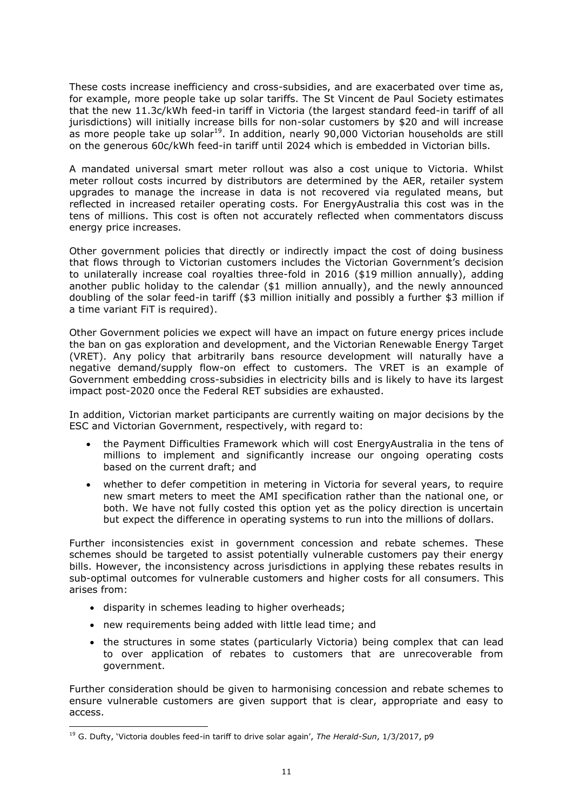These costs increase inefficiency and cross-subsidies, and are exacerbated over time as, for example, more people take up solar tariffs. The St Vincent de Paul Society estimates that the new 11.3c/kWh feed-in tariff in Victoria (the largest standard feed-in tariff of all jurisdictions) will initially increase bills for non-solar customers by \$20 and will increase as more people take up solar<sup>19</sup>. In addition, nearly 90,000 Victorian households are still on the generous 60c/kWh feed-in tariff until 2024 which is embedded in Victorian bills.

A mandated universal smart meter rollout was also a cost unique to Victoria. Whilst meter rollout costs incurred by distributors are determined by the AER, retailer system upgrades to manage the increase in data is not recovered via regulated means, but reflected in increased retailer operating costs. For EnergyAustralia this cost was in the tens of millions. This cost is often not accurately reflected when commentators discuss energy price increases.

Other government policies that directly or indirectly impact the cost of doing business that flows through to Victorian customers includes the Victorian Government's decision to unilaterally increase coal royalties three-fold in 2016 (\$19 million annually), adding another public holiday to the calendar (\$1 million annually), and the newly announced doubling of the solar feed-in tariff (\$3 million initially and possibly a further \$3 million if a time variant FiT is required).

Other Government policies we expect will have an impact on future energy prices include the ban on gas exploration and development, and the Victorian Renewable Energy Target (VRET). Any policy that arbitrarily bans resource development will naturally have a negative demand/supply flow-on effect to customers. The VRET is an example of Government embedding cross-subsidies in electricity bills and is likely to have its largest impact post-2020 once the Federal RET subsidies are exhausted.

In addition, Victorian market participants are currently waiting on major decisions by the ESC and Victorian Government, respectively, with regard to:

- the Payment Difficulties Framework which will cost EnergyAustralia in the tens of millions to implement and significantly increase our ongoing operating costs based on the current draft; and
- whether to defer competition in metering in Victoria for several years, to require new smart meters to meet the AMI specification rather than the national one, or both. We have not fully costed this option yet as the policy direction is uncertain but expect the difference in operating systems to run into the millions of dollars.

Further inconsistencies exist in government concession and rebate schemes. These schemes should be targeted to assist potentially vulnerable customers pay their energy bills. However, the inconsistency across jurisdictions in applying these rebates results in sub-optimal outcomes for vulnerable customers and higher costs for all consumers. This arises from:

disparity in schemes leading to higher overheads;

-

- new requirements being added with little lead time; and
- the structures in some states (particularly Victoria) being complex that can lead to over application of rebates to customers that are unrecoverable from government.

Further consideration should be given to harmonising concession and rebate schemes to ensure vulnerable customers are given support that is clear, appropriate and easy to access.

<sup>19</sup> G. Dufty, 'Victoria doubles feed-in tariff to drive solar again', *The Herald-Sun*, 1/3/2017, p9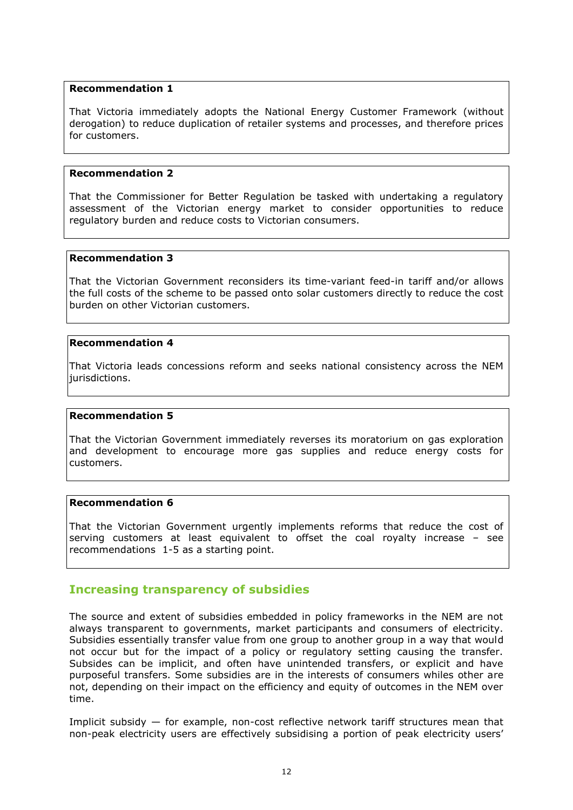# **Recommendation 1**

That Victoria immediately adopts the National Energy Customer Framework (without derogation) to reduce duplication of retailer systems and processes, and therefore prices for customers.

# **Recommendation 2**

That the Commissioner for Better Regulation be tasked with undertaking a regulatory assessment of the Victorian energy market to consider opportunities to reduce regulatory burden and reduce costs to Victorian consumers.

# **Recommendation 3**

That the Victorian Government reconsiders its time-variant feed-in tariff and/or allows the full costs of the scheme to be passed onto solar customers directly to reduce the cost burden on other Victorian customers.

# **Recommendation 4**

That Victoria leads concessions reform and seeks national consistency across the NEM jurisdictions.

# **Recommendation 5**

That the Victorian Government immediately reverses its moratorium on gas exploration and development to encourage more gas supplies and reduce energy costs for customers.

# **Recommendation 6**

That the Victorian Government urgently implements reforms that reduce the cost of serving customers at least equivalent to offset the coal royalty increase – see recommendations 1-5 as a starting point.

# **Increasing transparency of subsidies**

The source and extent of subsidies embedded in policy frameworks in the NEM are not always transparent to governments, market participants and consumers of electricity. Subsidies essentially transfer value from one group to another group in a way that would not occur but for the impact of a policy or regulatory setting causing the transfer. Subsides can be implicit, and often have unintended transfers, or explicit and have purposeful transfers. Some subsidies are in the interests of consumers whiles other are not, depending on their impact on the efficiency and equity of outcomes in the NEM over time.

Implicit subsidy  $-$  for example, non-cost reflective network tariff structures mean that non-peak electricity users are effectively subsidising a portion of peak electricity users'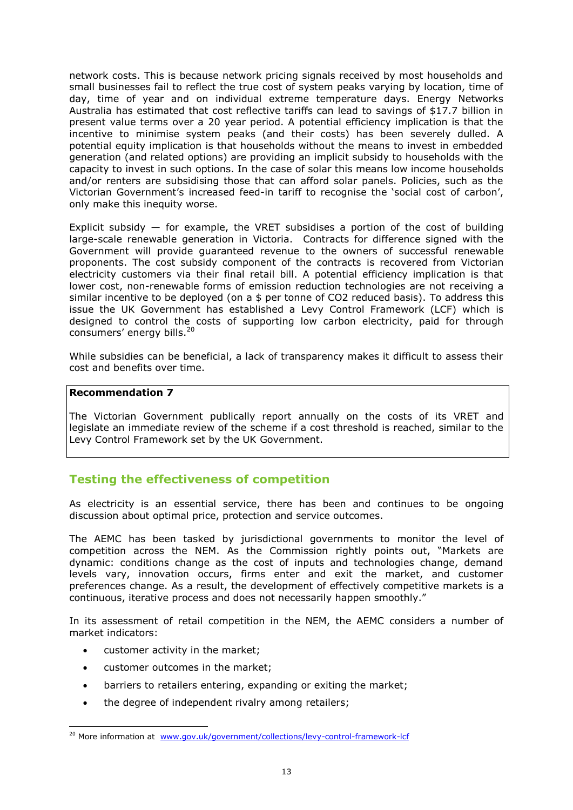network costs. This is because network pricing signals received by most households and small businesses fail to reflect the true cost of system peaks varying by location, time of day, time of year and on individual extreme temperature days. Energy Networks Australia has estimated that cost reflective tariffs can lead to savings of \$17.7 billion in present value terms over a 20 year period. A potential efficiency implication is that the incentive to minimise system peaks (and their costs) has been severely dulled. A potential equity implication is that households without the means to invest in embedded generation (and related options) are providing an implicit subsidy to households with the capacity to invest in such options. In the case of solar this means low income households and/or renters are subsidising those that can afford solar panels. Policies, such as the Victorian Government's increased feed-in tariff to recognise the 'social cost of carbon', only make this inequity worse.

Explicit subsidy  $-$  for example, the VRET subsidises a portion of the cost of building large-scale renewable generation in Victoria. Contracts for difference signed with the Government will provide guaranteed revenue to the owners of successful renewable proponents. The cost subsidy component of the contracts is recovered from Victorian electricity customers via their final retail bill. A potential efficiency implication is that lower cost, non-renewable forms of emission reduction technologies are not receiving a similar incentive to be deployed (on a \$ per tonne of CO2 reduced basis). To address this issue the UK Government has established a Levy Control Framework (LCF) which is designed to control the costs of supporting low carbon electricity, paid for through consumers' energy bills.<sup>20</sup>

While subsidies can be beneficial, a lack of transparency makes it difficult to assess their cost and benefits over time.

# **Recommendation 7**

The Victorian Government publically report annually on the costs of its VRET and legislate an immediate review of the scheme if a cost threshold is reached, similar to the Levy Control Framework set by the UK Government.

# **Testing the effectiveness of competition**

As electricity is an essential service, there has been and continues to be ongoing discussion about optimal price, protection and service outcomes.

The AEMC has been tasked by jurisdictional governments to monitor the level of competition across the NEM. As the Commission rightly points out, "Markets are dynamic: conditions change as the cost of inputs and technologies change, demand levels vary, innovation occurs, firms enter and exit the market, and customer preferences change. As a result, the development of effectively competitive markets is a continuous, iterative process and does not necessarily happen smoothly."

In its assessment of retail competition in the NEM, the AEMC considers a number of market indicators:

customer activity in the market;

- customer outcomes in the market;
- barriers to retailers entering, expanding or exiting the market;
- the degree of independent rivalry among retailers;

<sup>&</sup>lt;sup>20</sup> More information at [www.gov.uk/government/collections/levy-control-framework-lcf](http://www.gov.uk/government/collections/levy-control-framework-lcf)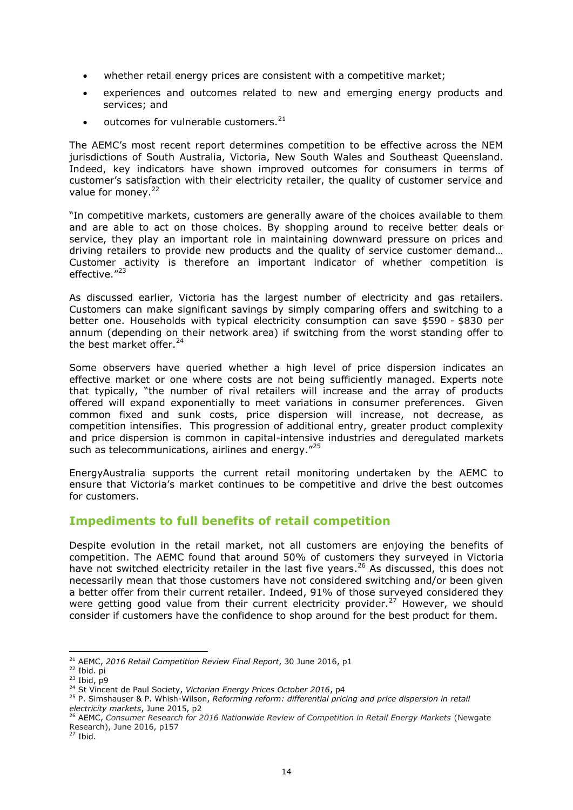- whether retail energy prices are consistent with a competitive market;
- experiences and outcomes related to new and emerging energy products and services; and
- outcomes for vulnerable customers.<sup>21</sup>

The AEMC's most recent report determines competition to be effective across the NEM jurisdictions of South Australia, Victoria, New South Wales and Southeast Queensland. Indeed, key indicators have shown improved outcomes for consumers in terms of customer's satisfaction with their electricity retailer, the quality of customer service and value for money. $22$ 

"In competitive markets, customers are generally aware of the choices available to them and are able to act on those choices. By shopping around to receive better deals or service, they play an important role in maintaining downward pressure on prices and driving retailers to provide new products and the quality of service customer demand… Customer activity is therefore an important indicator of whether competition is effective."23

As discussed earlier, Victoria has the largest number of electricity and gas retailers. Customers can make significant savings by simply comparing offers and switching to a better one. Households with typical electricity consumption can save \$590 - \$830 per annum (depending on their network area) if switching from the worst standing offer to the best market offer.<sup>24</sup>

Some observers have queried whether a high level of price dispersion indicates an effective market or one where costs are not being sufficiently managed. Experts note that typically, "the number of rival retailers will increase and the array of products offered will expand exponentially to meet variations in consumer preferences. Given common fixed and sunk costs, price dispersion will increase, not decrease, as competition intensifies. This progression of additional entry, greater product complexity and price dispersion is common in capital-intensive industries and deregulated markets such as telecommunications, airlines and energy."<sup>25</sup>

EnergyAustralia supports the current retail monitoring undertaken by the AEMC to ensure that Victoria's market continues to be competitive and drive the best outcomes for customers.

# **Impediments to full benefits of retail competition**

Despite evolution in the retail market, not all customers are enjoying the benefits of competition. The AEMC found that around 50% of customers they surveyed in Victoria have not switched electricity retailer in the last five years.<sup>26</sup> As discussed, this does not necessarily mean that those customers have not considered switching and/or been given a better offer from their current retailer. Indeed, 91% of those surveyed considered they were getting good value from their current electricity provider.<sup>27</sup> However, we should consider if customers have the confidence to shop around for the best product for them.

<sup>21</sup> AEMC, *2016 Retail Competition Review Final Report*, 30 June 2016, p1

<sup>22</sup> Ibid. pi

 $23$  Ibid, p9

<sup>&</sup>lt;sup>24</sup> St Vincent de Paul Society, Victorian Energy Prices October 2016, p4

<sup>25</sup> P. Simshauser & P. Whish-Wilson, *Reforming reform: differential pricing and price dispersion in retail electricity markets*, June 2015, p2

<sup>26</sup> AEMC, *Consumer Research for 2016 Nationwide Review of Competition in Retail Energy Markets* (Newgate Research), June 2016, p157

 $27$  Ibid.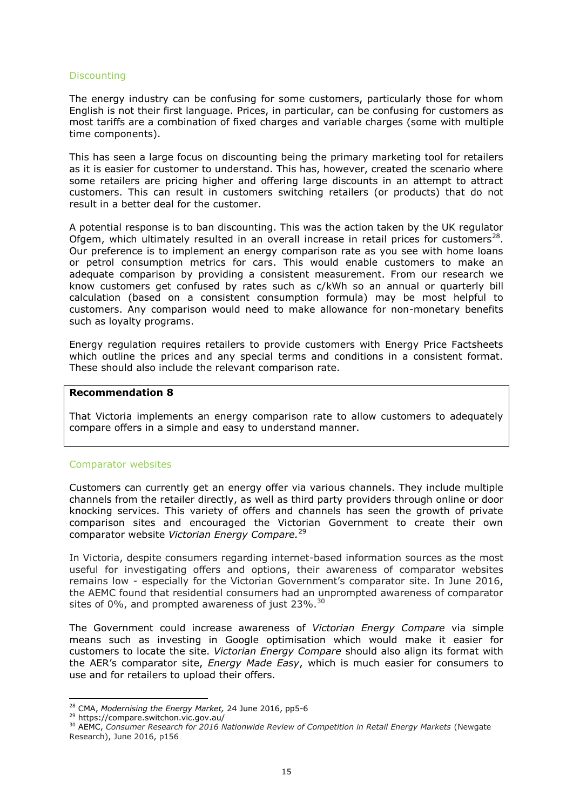# **Discounting**

The energy industry can be confusing for some customers, particularly those for whom English is not their first language. Prices, in particular, can be confusing for customers as most tariffs are a combination of fixed charges and variable charges (some with multiple time components).

This has seen a large focus on discounting being the primary marketing tool for retailers as it is easier for customer to understand. This has, however, created the scenario where some retailers are pricing higher and offering large discounts in an attempt to attract customers. This can result in customers switching retailers (or products) that do not result in a better deal for the customer.

A potential response is to ban discounting. This was the action taken by the UK regulator Ofgem, which ultimately resulted in an overall increase in retail prices for customers<sup>28</sup>. Our preference is to implement an energy comparison rate as you see with home loans or petrol consumption metrics for cars. This would enable customers to make an adequate comparison by providing a consistent measurement. From our research we know customers get confused by rates such as c/kWh so an annual or quarterly bill calculation (based on a consistent consumption formula) may be most helpful to customers. Any comparison would need to make allowance for non-monetary benefits such as loyalty programs.

Energy regulation requires retailers to provide customers with Energy Price Factsheets which outline the prices and any special terms and conditions in a consistent format. These should also include the relevant comparison rate.

#### **Recommendation 8**

That Victoria implements an energy comparison rate to allow customers to adequately compare offers in a simple and easy to understand manner.

# Comparator websites

Customers can currently get an energy offer via various channels. They include multiple channels from the retailer directly, as well as third party providers through online or door knocking services. This variety of offers and channels has seen the growth of private comparison sites and encouraged the Victorian Government to create their own comparator website *Victorian Energy Compare.* 29

In Victoria, despite consumers regarding internet-based information sources as the most useful for investigating offers and options, their awareness of comparator websites remains low - especially for the Victorian Government's comparator site. In June 2016, the AEMC found that residential consumers had an unprompted awareness of comparator sites of 0%, and prompted awareness of just 23%.<sup>30</sup>

The Government could increase awareness of *Victorian Energy Compare* via simple means such as investing in Google optimisation which would make it easier for customers to locate the site. *Victorian Energy Compare* should also align its format with the AER's comparator site, *Energy Made Easy*, which is much easier for consumers to use and for retailers to upload their offers.

<sup>28</sup> CMA, *Modernising the Energy Market,* 24 June 2016, pp5-6

<sup>29</sup> https://compare.switchon.vic.gov.au/

<sup>&</sup>lt;sup>30</sup> AEMC, Consumer Research for 2016 Nationwide Review of Competition in Retail Energy Markets (Newgate Research), June 2016, p156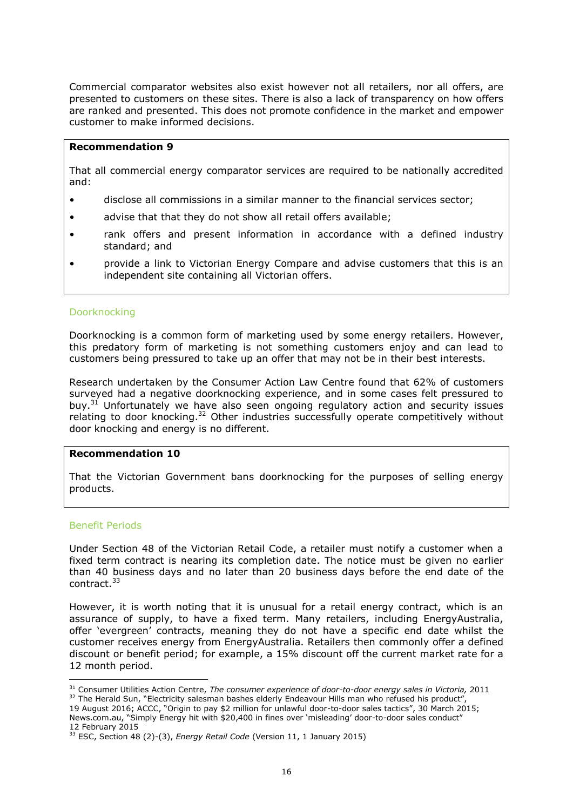Commercial comparator websites also exist however not all retailers, nor all offers, are presented to customers on these sites. There is also a lack of transparency on how offers are ranked and presented. This does not promote confidence in the market and empower customer to make informed decisions.

# **Recommendation 9**

That all commercial energy comparator services are required to be nationally accredited and:

- disclose all commissions in a similar manner to the financial services sector;
- advise that that they do not show all retail offers available;
- rank offers and present information in accordance with a defined industry standard; and
- provide a link to Victorian Energy Compare and advise customers that this is an independent site containing all Victorian offers.

# Doorknocking

Doorknocking is a common form of marketing used by some energy retailers. However, this predatory form of marketing is not something customers enjoy and can lead to customers being pressured to take up an offer that may not be in their best interests.

Research undertaken by the Consumer Action Law Centre found that 62% of customers surveyed had a negative doorknocking experience, and in some cases felt pressured to buy.<sup>31</sup> Unfortunately we have also seen ongoing regulatory action and security issues relating to door knocking.<sup>32</sup> Other industries successfully operate competitively without door knocking and energy is no different.

# **Recommendation 10**

That the Victorian Government bans doorknocking for the purposes of selling energy products.

# Benefit Periods

-

Under Section 48 of the Victorian Retail Code, a retailer must notify a customer when a fixed term contract is nearing its completion date. The notice must be given no earlier than 40 business days and no later than 20 business days before the end date of the contract.<sup>33</sup>

However, it is worth noting that it is unusual for a retail energy contract, which is an assurance of supply, to have a fixed term. Many retailers, including EnergyAustralia, offer 'evergreen' contracts, meaning they do not have a specific end date whilst the customer receives energy from EnergyAustralia. Retailers then commonly offer a defined discount or benefit period; for example, a 15% discount off the current market rate for a 12 month period.

<sup>&</sup>lt;sup>31</sup> Consumer Utilities Action Centre, *The consumer experience of door-to-door energy sales in Victoria,* 2011 <sup>32</sup> The Herald Sun, "Electricity salesman bashes elderly Endeavour Hills man who refused his product",

<sup>19</sup> August 2016; ACCC, "Origin to pay \$2 million for unlawful door-to-door sales tactics", 30 March 2015; News.com.au, "Simply Energy hit with \$20,400 in fines over 'misleading' door-to-door sales conduct" 12 February 2015

<sup>33</sup> ESC, Section 48 (2)-(3), *Energy Retail Code* (Version 11, 1 January 2015)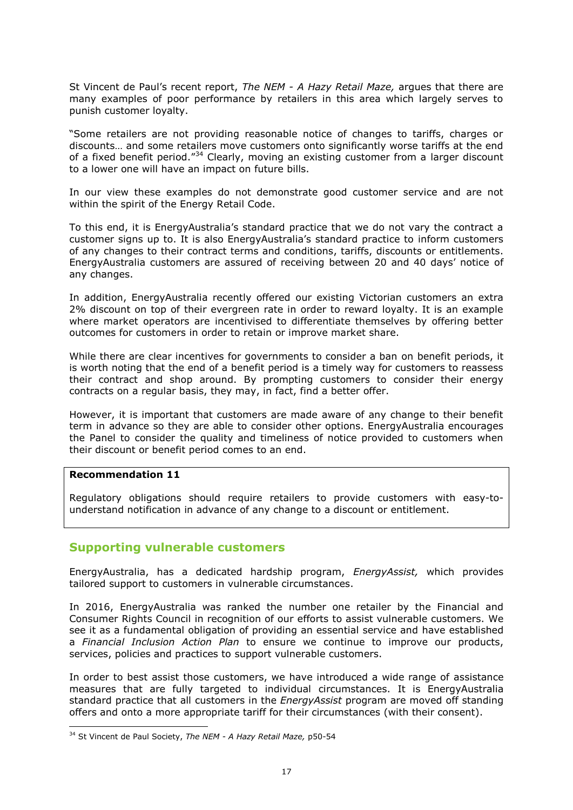St Vincent de Paul's recent report, *The NEM - A Hazy Retail Maze,* argues that there are many examples of poor performance by retailers in this area which largely serves to punish customer loyalty.

"Some retailers are not providing reasonable notice of changes to tariffs, charges or discounts… and some retailers move customers onto significantly worse tariffs at the end of a fixed benefit period."<sup>34</sup> Clearly, moving an existing customer from a larger discount to a lower one will have an impact on future bills.

In our view these examples do not demonstrate good customer service and are not within the spirit of the Energy Retail Code.

To this end, it is EnergyAustralia's standard practice that we do not vary the contract a customer signs up to. It is also EnergyAustralia's standard practice to inform customers of any changes to their contract terms and conditions, tariffs, discounts or entitlements. EnergyAustralia customers are assured of receiving between 20 and 40 days' notice of any changes.

In addition, EnergyAustralia recently offered our existing Victorian customers an extra 2% discount on top of their evergreen rate in order to reward loyalty. It is an example where market operators are incentivised to differentiate themselves by offering better outcomes for customers in order to retain or improve market share.

While there are clear incentives for governments to consider a ban on benefit periods, it is worth noting that the end of a benefit period is a timely way for customers to reassess their contract and shop around. By prompting customers to consider their energy contracts on a regular basis, they may, in fact, find a better offer.

However, it is important that customers are made aware of any change to their benefit term in advance so they are able to consider other options. EnergyAustralia encourages the Panel to consider the quality and timeliness of notice provided to customers when their discount or benefit period comes to an end.

# **Recommendation 11**

-

Regulatory obligations should require retailers to provide customers with easy-tounderstand notification in advance of any change to a discount or entitlement.

# **Supporting vulnerable customers**

EnergyAustralia, has a dedicated hardship program, *EnergyAssist,* which provides tailored support to customers in vulnerable circumstances.

In 2016, EnergyAustralia was ranked the number one retailer by the Financial and Consumer Rights Council in recognition of our efforts to assist vulnerable customers. We see it as a fundamental obligation of providing an essential service and have established a *Financial Inclusion Action Plan* to ensure we continue to improve our products, services, policies and practices to support vulnerable customers.

In order to best assist those customers, we have introduced a wide range of assistance measures that are fully targeted to individual circumstances. It is EnergyAustralia standard practice that all customers in the *EnergyAssist* program are moved off standing offers and onto a more appropriate tariff for their circumstances (with their consent).

<sup>34</sup> St Vincent de Paul Society, *The NEM - A Hazy Retail Maze,* p50-54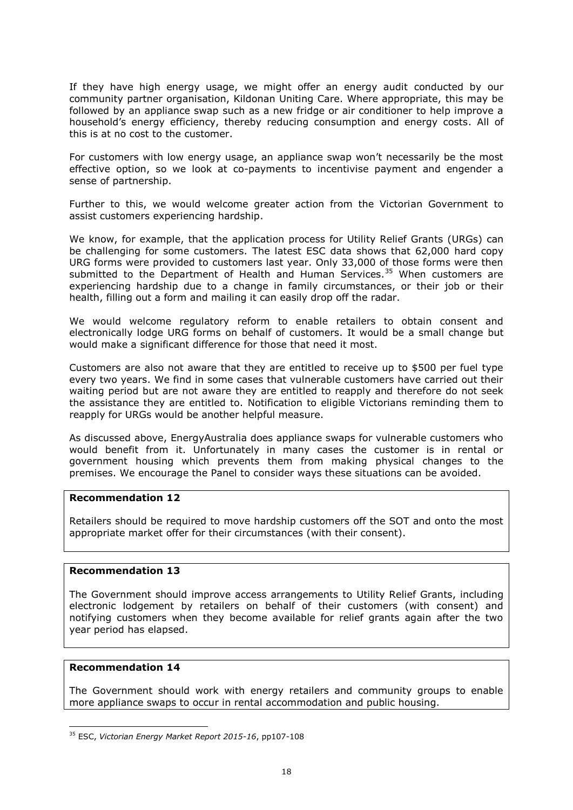If they have high energy usage, we might offer an energy audit conducted by our community partner organisation, Kildonan Uniting Care. Where appropriate, this may be followed by an appliance swap such as a new fridge or air conditioner to help improve a household's energy efficiency, thereby reducing consumption and energy costs. All of this is at no cost to the customer.

For customers with low energy usage, an appliance swap won't necessarily be the most effective option, so we look at co-payments to incentivise payment and engender a sense of partnership.

Further to this, we would welcome greater action from the Victorian Government to assist customers experiencing hardship.

We know, for example, that the application process for Utility Relief Grants (URGs) can be challenging for some customers. The latest ESC data shows that 62,000 hard copy URG forms were provided to customers last year. Only 33,000 of those forms were then submitted to the Department of Health and Human Services.<sup>35</sup> When customers are experiencing hardship due to a change in family circumstances, or their job or their health, filling out a form and mailing it can easily drop off the radar.

We would welcome regulatory reform to enable retailers to obtain consent and electronically lodge URG forms on behalf of customers. It would be a small change but would make a significant difference for those that need it most.

Customers are also not aware that they are entitled to receive up to \$500 per fuel type every two years. We find in some cases that vulnerable customers have carried out their waiting period but are not aware they are entitled to reapply and therefore do not seek the assistance they are entitled to. Notification to eligible Victorians reminding them to reapply for URGs would be another helpful measure.

As discussed above, EnergyAustralia does appliance swaps for vulnerable customers who would benefit from it. Unfortunately in many cases the customer is in rental or government housing which prevents them from making physical changes to the premises. We encourage the Panel to consider ways these situations can be avoided.

# **Recommendation 12**

Retailers should be required to move hardship customers off the SOT and onto the most appropriate market offer for their circumstances (with their consent).

# **Recommendation 13**

The Government should improve access arrangements to Utility Relief Grants, including electronic lodgement by retailers on behalf of their customers (with consent) and notifying customers when they become available for relief grants again after the two year period has elapsed.

# **Recommendation 14**

-

The Government should work with energy retailers and community groups to enable more appliance swaps to occur in rental accommodation and public housing.

<sup>35</sup> ESC, *Victorian Energy Market Report 2015-16*, pp107-108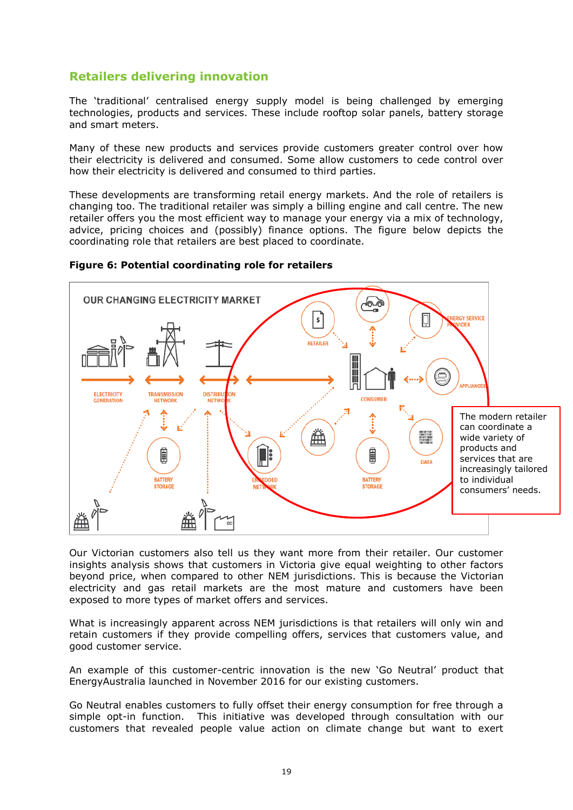# **Retailers delivering innovation**

The 'traditional' centralised energy supply model is being challenged by emerging technologies, products and services. These include rooftop solar panels, battery storage and smart meters.

Many of these new products and services provide customers greater control over how their electricity is delivered and consumed. Some allow customers to cede control over how their electricity is delivered and consumed to third parties.

These developments are transforming retail energy markets. And the role of retailers is changing too. The traditional retailer was simply a billing engine and call centre. The new retailer offers you the most efficient way to manage your energy via a mix of technology, advice, pricing choices and (possibly) finance options. The figure below depicts the coordinating role that retailers are best placed to coordinate.



#### **Figure 6: Potential coordinating role for retailers**

Our Victorian customers also tell us they want more from their retailer. Our customer insights analysis shows that customers in Victoria give equal weighting to other factors beyond price, when compared to other NEM jurisdictions. This is because the Victorian electricity and gas retail markets are the most mature and customers have been exposed to more types of market offers and services.

What is increasingly apparent across NEM jurisdictions is that retailers will only win and retain customers if they provide compelling offers, services that customers value, and good customer service.

An example of this customer-centric innovation is the new 'Go Neutral' product that EnergyAustralia launched in November 2016 for our existing customers.

Go Neutral enables customers to fully offset their energy consumption for free through a simple opt-in function. This initiative was developed through consultation with our customers that revealed people value action on climate change but want to exert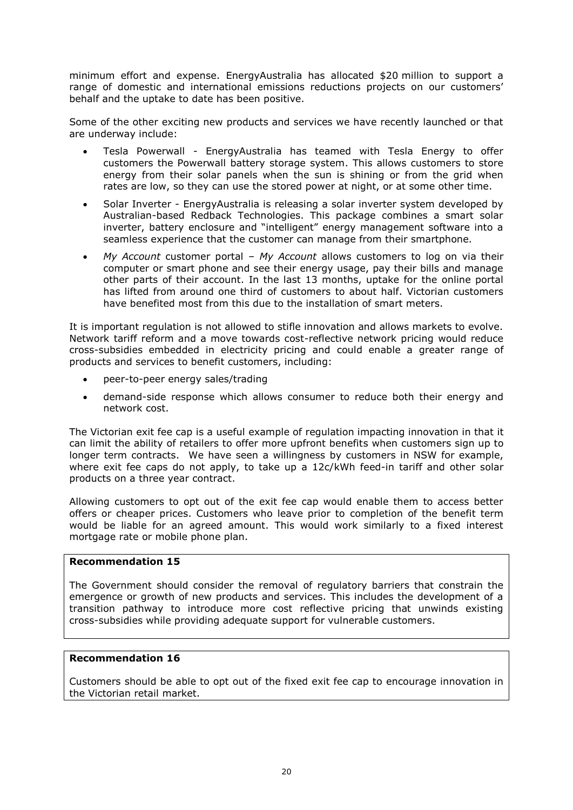minimum effort and expense. EnergyAustralia has allocated \$20 million to support a range of domestic and international emissions reductions projects on our customers' behalf and the uptake to date has been positive.

Some of the other exciting new products and services we have recently launched or that are underway include:

- Tesla Powerwall EnergyAustralia has teamed with Tesla Energy to offer customers the Powerwall battery storage system. This allows customers to store energy from their solar panels when the sun is shining or from the grid when rates are low, so they can use the stored power at night, or at some other time.
- Solar Inverter EnergyAustralia is releasing a solar inverter system developed by Australian-based Redback Technologies. This package combines a smart solar inverter, battery enclosure and "intelligent" energy management software into a seamless experience that the customer can manage from their smartphone.
- *My Account* customer portal *My Account* allows customers to log on via their computer or smart phone and see their energy usage, pay their bills and manage other parts of their account. In the last 13 months, uptake for the online portal has lifted from around one third of customers to about half. Victorian customers have benefited most from this due to the installation of smart meters.

It is important regulation is not allowed to stifle innovation and allows markets to evolve. Network tariff reform and a move towards cost-reflective network pricing would reduce cross-subsidies embedded in electricity pricing and could enable a greater range of products and services to benefit customers, including:

- peer-to-peer energy sales/trading
- demand-side response which allows consumer to reduce both their energy and network cost.

The Victorian exit fee cap is a useful example of regulation impacting innovation in that it can limit the ability of retailers to offer more upfront benefits when customers sign up to longer term contracts. We have seen a willingness by customers in NSW for example, where exit fee caps do not apply, to take up a 12c/kWh feed-in tariff and other solar products on a three year contract.

Allowing customers to opt out of the exit fee cap would enable them to access better offers or cheaper prices. Customers who leave prior to completion of the benefit term would be liable for an agreed amount. This would work similarly to a fixed interest mortgage rate or mobile phone plan.

# **Recommendation 15**

The Government should consider the removal of regulatory barriers that constrain the emergence or growth of new products and services. This includes the development of a transition pathway to introduce more cost reflective pricing that unwinds existing cross-subsidies while providing adequate support for vulnerable customers.

# **Recommendation 16**

Customers should be able to opt out of the fixed exit fee cap to encourage innovation in the Victorian retail market.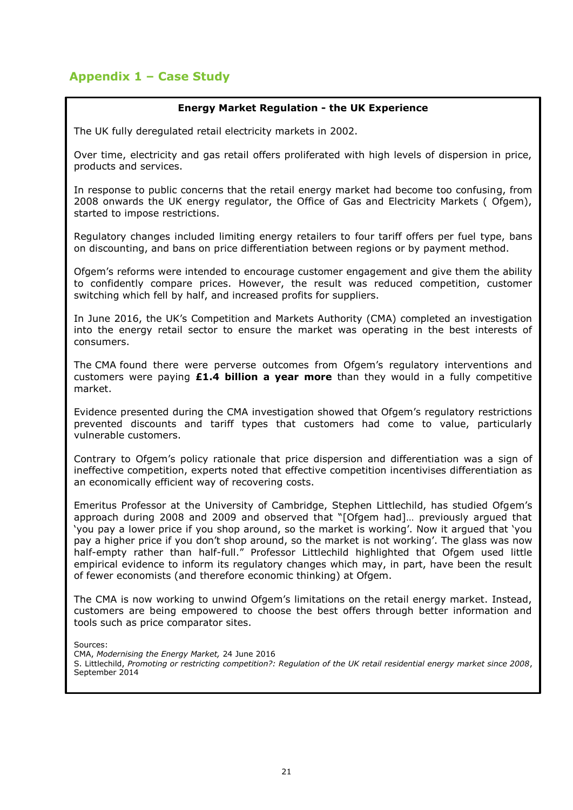# **Appendix 1 – Case Study**

# **Energy Market Regulation - the UK Experience**

The UK fully deregulated retail electricity markets in 2002.

Over time, electricity and gas retail offers proliferated with high levels of dispersion in price, products and services.

In response to public concerns that the retail energy market had become too confusing, from 2008 onwards the UK energy regulator, the Office of Gas and Electricity Markets ( Ofgem), started to impose restrictions.

Regulatory changes included limiting energy retailers to four tariff offers per fuel type, bans on discounting, and bans on price differentiation between regions or by payment method.

Ofgem's reforms were intended to encourage customer engagement and give them the ability to confidently compare prices. However, the result was reduced competition, customer switching which fell by half, and increased profits for suppliers.

In June 2016, the UK's Competition and Markets Authority (CMA) completed an investigation into the energy retail sector to ensure the market was operating in the best interests of consumers.

The CMA found there were perverse outcomes from Ofgem's regulatory interventions and customers were paying **£1.4 billion a year more** than they would in a fully competitive market.

Evidence presented during the CMA investigation showed that Ofgem's regulatory restrictions prevented discounts and tariff types that customers had come to value, particularly vulnerable customers.

Contrary to Ofgem's policy rationale that price dispersion and differentiation was a sign of ineffective competition, experts noted that effective competition incentivises differentiation as an economically efficient way of recovering costs.

Emeritus Professor at the University of Cambridge, Stephen Littlechild, has studied Ofgem's approach during 2008 and 2009 and observed that "[Ofgem had]… previously argued that 'you pay a lower price if you shop around, so the market is working'. Now it argued that 'you pay a higher price if you don't shop around, so the market is not working'. The glass was now half-empty rather than half-full." Professor Littlechild highlighted that Ofgem used little empirical evidence to inform its regulatory changes which may, in part, have been the result of fewer economists (and therefore economic thinking) at Ofgem.

The CMA is now working to unwind Ofgem's limitations on the retail energy market. Instead, customers are being empowered to choose the best offers through better information and tools such as price comparator sites.

Sources:

CMA, *Modernising the Energy Market,* 24 June 2016

S. Littlechild, *Promoting or restricting competition?: Regulation of the UK retail residential energy market since 2008*, September 2014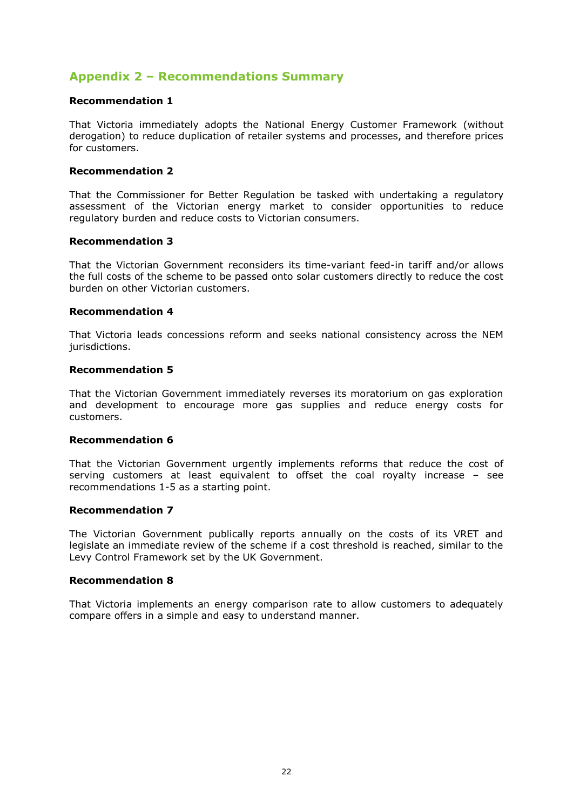# **Appendix 2 – Recommendations Summary**

# **Recommendation 1**

That Victoria immediately adopts the National Energy Customer Framework (without derogation) to reduce duplication of retailer systems and processes, and therefore prices for customers.

# **Recommendation 2**

That the Commissioner for Better Regulation be tasked with undertaking a regulatory assessment of the Victorian energy market to consider opportunities to reduce regulatory burden and reduce costs to Victorian consumers.

#### **Recommendation 3**

That the Victorian Government reconsiders its time-variant feed-in tariff and/or allows the full costs of the scheme to be passed onto solar customers directly to reduce the cost burden on other Victorian customers.

# **Recommendation 4**

That Victoria leads concessions reform and seeks national consistency across the NEM jurisdictions.

#### **Recommendation 5**

That the Victorian Government immediately reverses its moratorium on gas exploration and development to encourage more gas supplies and reduce energy costs for customers.

# **Recommendation 6**

That the Victorian Government urgently implements reforms that reduce the cost of serving customers at least equivalent to offset the coal royalty increase – see recommendations 1-5 as a starting point.

# **Recommendation 7**

The Victorian Government publically reports annually on the costs of its VRET and legislate an immediate review of the scheme if a cost threshold is reached, similar to the Levy Control Framework set by the UK Government.

# **Recommendation 8**

That Victoria implements an energy comparison rate to allow customers to adequately compare offers in a simple and easy to understand manner.